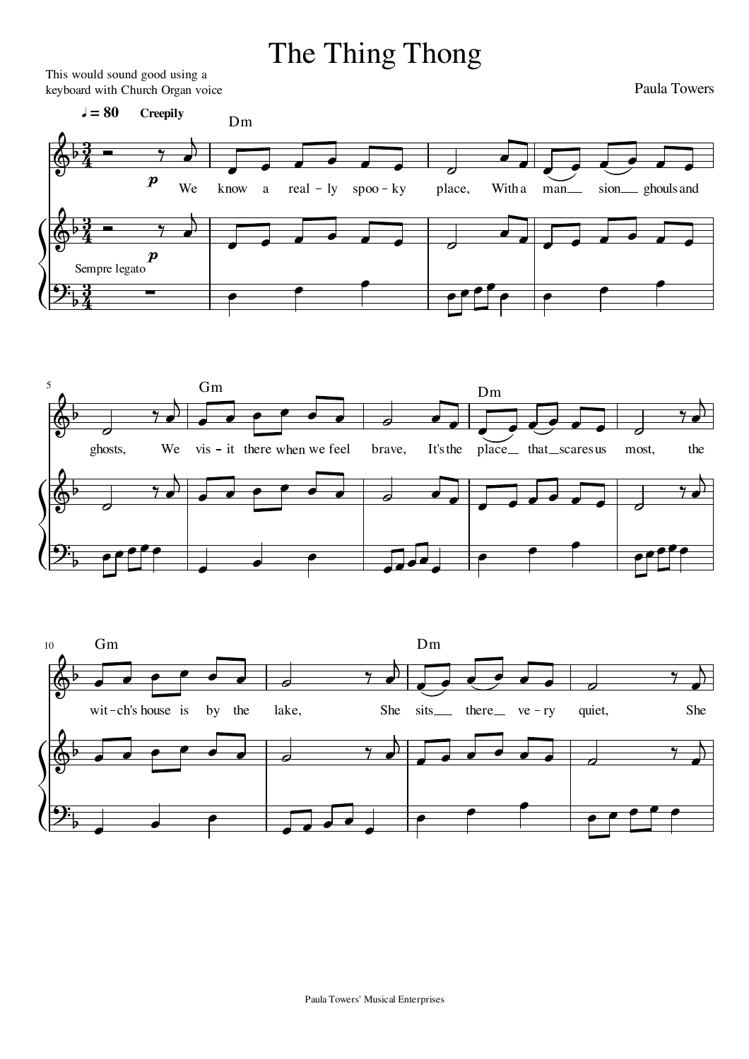## The Thing Thong

This would sound good using a keyboard with Church Organ voice

Paula Towers







Paula Towers' Musical Enterprises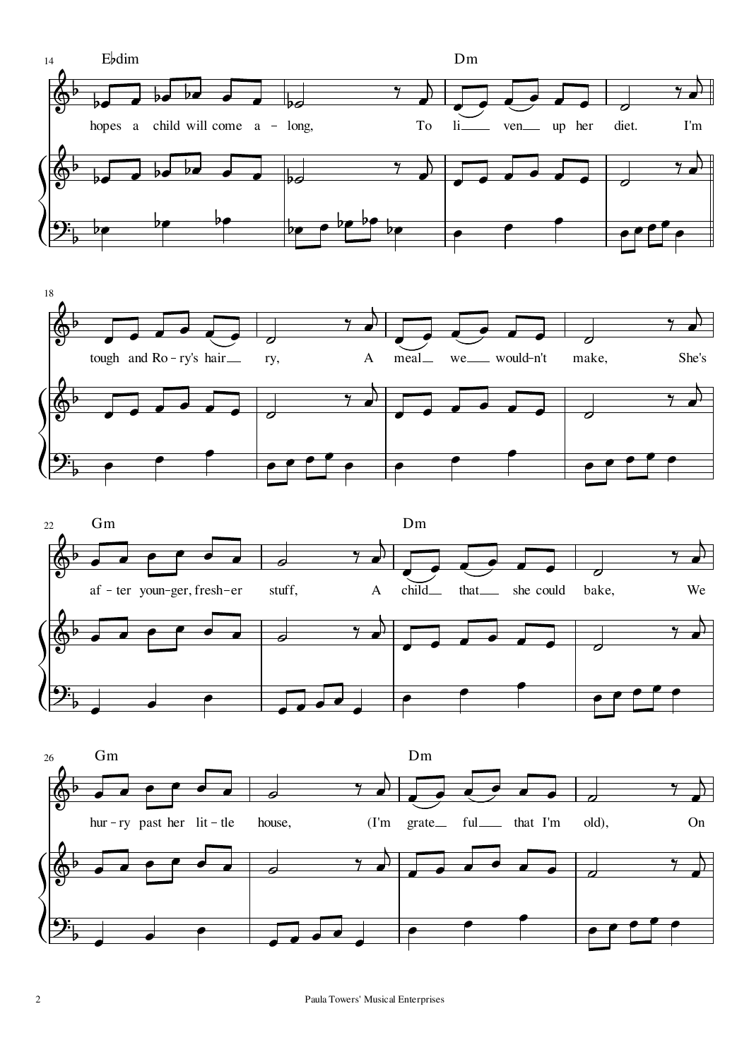





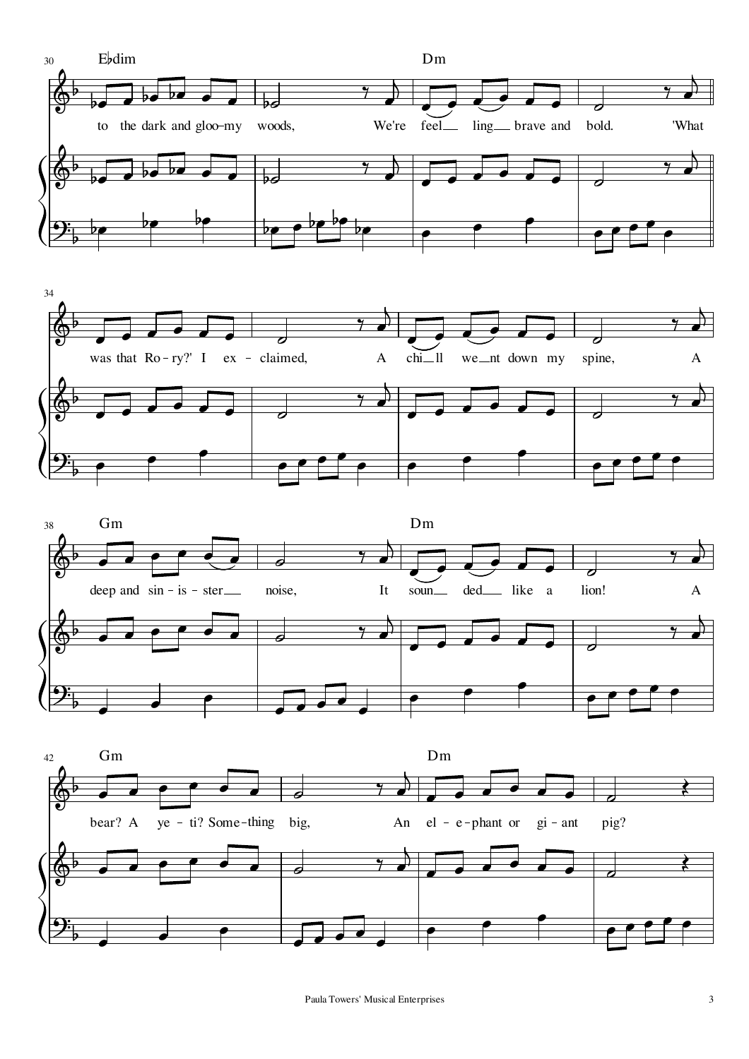





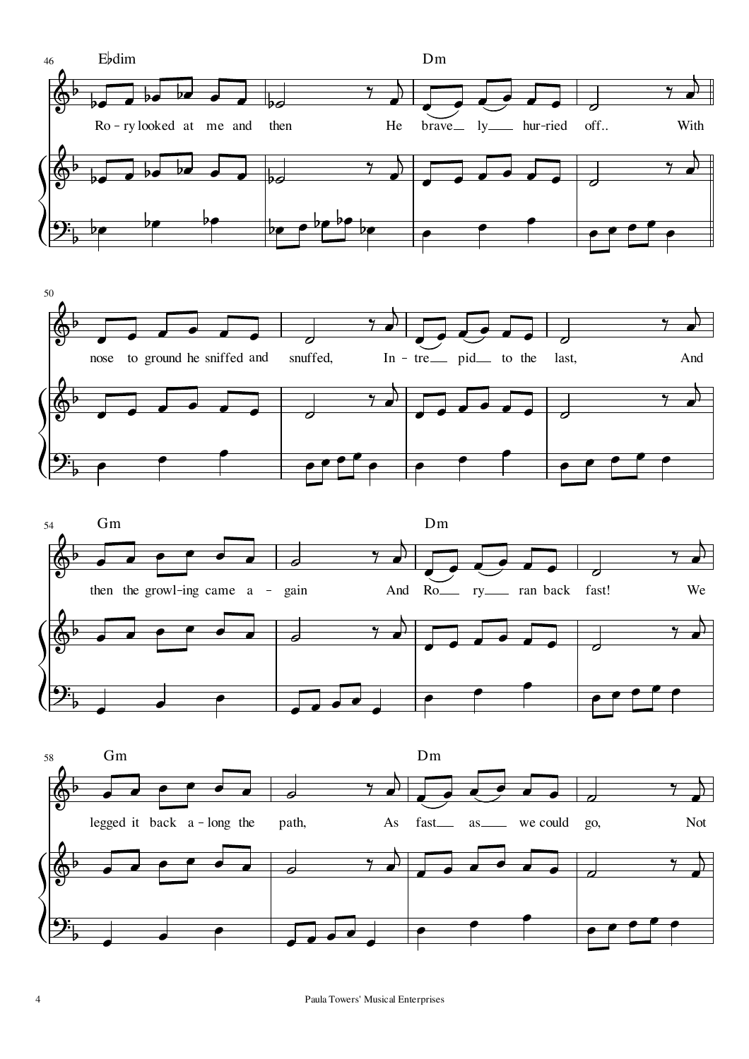





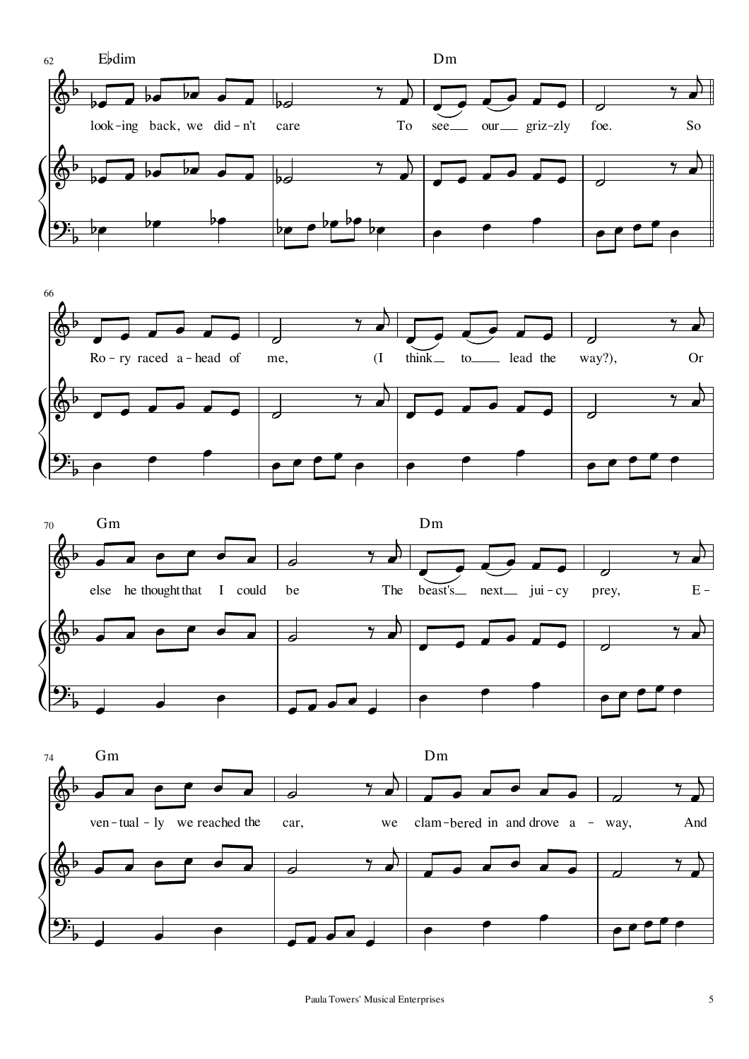